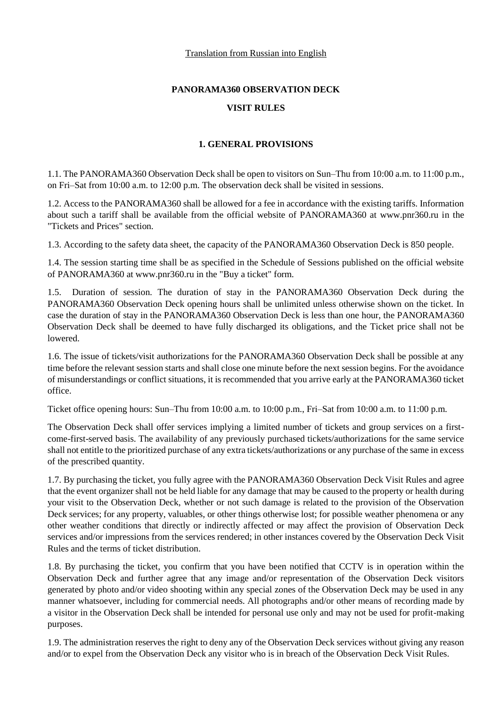# **PANORAMA360 OBSERVATION DECK**

# **VISIT RULES**

# **1. GENERAL PROVISIONS**

1.1. The PANORAMA360 Observation Deck shall be open to visitors on Sun–Thu from 10:00 a.m. to 11:00 p.m., on Fri–Sat from 10:00 a.m. to 12:00 p.m. The observation deck shall be visited in sessions.

1.2. Access to the PANORAMA360 shall be allowed for a fee in accordance with the existing tariffs. Information about such a tariff shall be available from the official website of PANORAMA360 at www.pnr360.ru in the "Tickets and Prices" section.

1.3. According to the safety data sheet, the capacity of the PANORAMA360 Observation Deck is 850 people.

1.4. The session starting time shall be as specified in the Schedule of Sessions published on the official website of PANORAMA360 at www.pnr360.ru in the "Buy a ticket" form.

1.5. Duration of session. The duration of stay in the PANORAMA360 Observation Deck during the PANORAMA360 Observation Deck opening hours shall be unlimited unless otherwise shown on the ticket. In case the duration of stay in the PANORAMA360 Observation Deck is less than one hour, the PANORAMA360 Observation Deck shall be deemed to have fully discharged its obligations, and the Ticket price shall not be lowered.

1.6. The issue of tickets/visit authorizations for the PANORAMA360 Observation Deck shall be possible at any time before the relevant session starts and shall close one minute before the next session begins. For the avoidance of misunderstandings or conflict situations, it is recommended that you arrive early at the PANORAMA360 ticket office.

Ticket office opening hours: Sun–Thu from 10:00 a.m. to 10:00 p.m., Fri–Sat from 10:00 a.m. to 11:00 p.m.

The Observation Deck shall offer services implying a limited number of tickets and group services on a firstcome-first-served basis. The availability of any previously purchased tickets/authorizations for the same service shall not entitle to the prioritized purchase of any extra tickets/authorizations or any purchase of the same in excess of the prescribed quantity.

1.7. By purchasing the ticket, you fully agree with the PANORAMA360 Observation Deck Visit Rules and agree that the event organizer shall not be held liable for any damage that may be caused to the property or health during your visit to the Observation Deck, whether or not such damage is related to the provision of the Observation Deck services; for any property, valuables, or other things otherwise lost; for possible weather phenomena or any other weather conditions that directly or indirectly affected or may affect the provision of Observation Deck services and/or impressions from the services rendered; in other instances covered by the Observation Deck Visit Rules and the terms of ticket distribution.

1.8. By purchasing the ticket, you confirm that you have been notified that CCTV is in operation within the Observation Deck and further agree that any image and/or representation of the Observation Deck visitors generated by photo and/or video shooting within any special zones of the Observation Deck may be used in any manner whatsoever, including for commercial needs. All photographs and/or other means of recording made by a visitor in the Observation Deck shall be intended for personal use only and may not be used for profit-making purposes.

1.9. The administration reserves the right to deny any of the Observation Deck services without giving any reason and/or to expel from the Observation Deck any visitor who is in breach of the Observation Deck Visit Rules.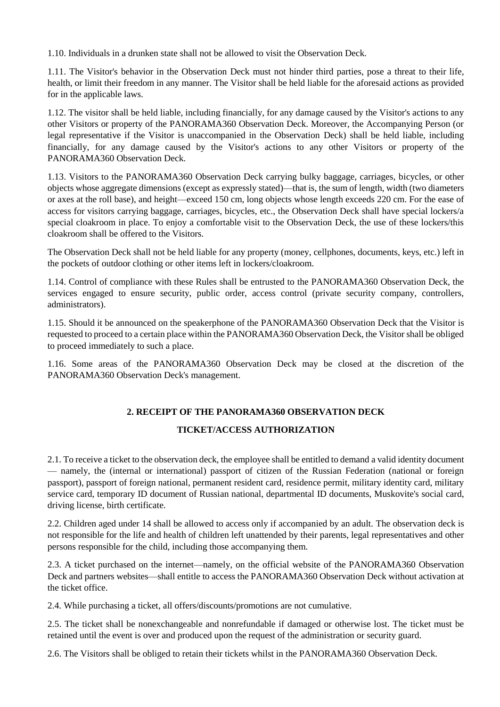1.10. Individuals in a drunken state shall not be allowed to visit the Observation Deck.

1.11. The Visitor's behavior in the Observation Deck must not hinder third parties, pose a threat to their life, health, or limit their freedom in any manner. The Visitor shall be held liable for the aforesaid actions as provided for in the applicable laws.

1.12. The visitor shall be held liable, including financially, for any damage caused by the Visitor's actions to any other Visitors or property of the PANORAMA360 Observation Deck. Moreover, the Accompanying Person (or legal representative if the Visitor is unaccompanied in the Observation Deck) shall be held liable, including financially, for any damage caused by the Visitor's actions to any other Visitors or property of the PANORAMA360 Observation Deck.

1.13. Visitors to the PANORAMA360 Observation Deck carrying bulky baggage, carriages, bicycles, or other objects whose aggregate dimensions (except as expressly stated)—that is, the sum of length, width (two diameters or axes at the roll base), and height—exceed 150 cm, long objects whose length exceeds 220 cm. For the ease of access for visitors carrying baggage, carriages, bicycles, etc., the Observation Deck shall have special lockers/a special cloakroom in place. To enjoy a comfortable visit to the Observation Deck, the use of these lockers/this cloakroom shall be offered to the Visitors.

The Observation Deck shall not be held liable for any property (money, cellphones, documents, keys, etc.) left in the pockets of outdoor clothing or other items left in lockers/cloakroom.

1.14. Control of compliance with these Rules shall be entrusted to the PANORAMA360 Observation Deck, the services engaged to ensure security, public order, access control (private security company, controllers, administrators).

1.15. Should it be announced on the speakerphone of the PANORAMA360 Observation Deck that the Visitor is requested to proceed to a certain place within the PANORAMA360 Observation Deck, the Visitor shall be obliged to proceed immediately to such a place.

1.16. Some areas of the PANORAMA360 Observation Deck may be closed at the discretion of the PANORAMA360 Observation Deck's management.

### **2. RECEIPT OF THE PANORAMA360 OBSERVATION DECK**

### **TICKET/ACCESS AUTHORIZATION**

2.1. To receive a ticket to the observation deck, the employee shall be entitled to demand a valid identity document — namely, the (internal or international) passport of citizen of the Russian Federation (national or foreign passport), passport of foreign national, permanent resident card, residence permit, military identity card, military service card, temporary ID document of Russian national, departmental ID documents, Muskovite's social card, driving license, birth certificate.

2.2. Children aged under 14 shall be allowed to access only if accompanied by an adult. The observation deck is not responsible for the life and health of children left unattended by their parents, legal representatives and other persons responsible for the child, including those accompanying them.

2.3. A ticket purchased on the internet—namely, on the official website of the PANORAMA360 Observation Deck and partners websites—shall entitle to access the PANORAMA360 Observation Deck without activation at the ticket office.

2.4. While purchasing a ticket, all offers/discounts/promotions are not cumulative.

2.5. The ticket shall be nonexchangeable and nonrefundable if damaged or otherwise lost. The ticket must be retained until the event is over and produced upon the request of the administration or security guard.

2.6. The Visitors shall be obliged to retain their tickets whilst in the PANORAMA360 Observation Deck.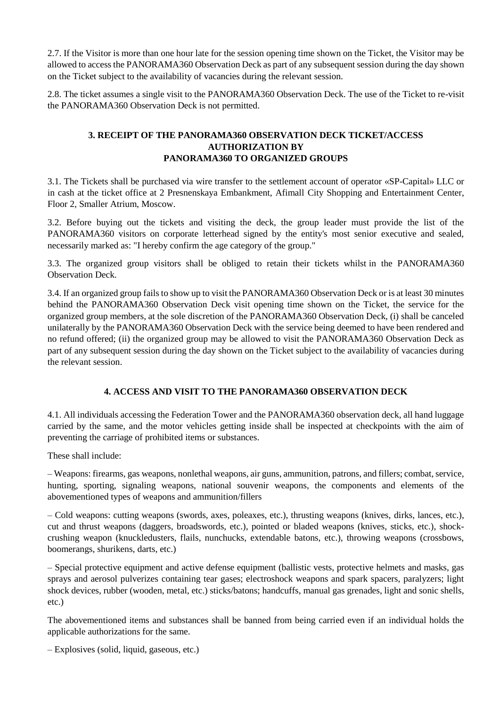2.7. If the Visitor is more than one hour late for the session opening time shown on the Ticket, the Visitor may be allowed to access the PANORAMA360 Observation Deck as part of any subsequent session during the day shown on the Ticket subject to the availability of vacancies during the relevant session.

2.8. The ticket assumes a single visit to the PANORAMA360 Observation Deck. The use of the Ticket to re-visit the PANORAMA360 Observation Deck is not permitted.

# **3. RECEIPT OF THE PANORAMA360 OBSERVATION DECK TICKET/ACCESS AUTHORIZATION BY PANORAMA360 TO ORGANIZED GROUPS**

3.1. The Tickets shall be purchased via wire transfer to the settlement account of operator «SP-Capital» LLC or in cash at the ticket office at 2 Presnenskaya Embankment, Afimall City Shopping and Entertainment Center, Floor 2, Smaller Atrium, Moscow.

3.2. Before buying out the tickets and visiting the deck, the group leader must provide the list of the PANORAMA360 visitors on corporate letterhead signed by the entity's most senior executive and sealed, necessarily marked as: "I hereby confirm the age category of the group."

3.3. The organized group visitors shall be obliged to retain their tickets whilst in the PANORAMA360 Observation Deck.

3.4. If an organized group fails to show up to visit the PANORAMA360 Observation Deck or is at least 30 minutes behind the PANORAMA360 Observation Deck visit opening time shown on the Ticket, the service for the organized group members, at the sole discretion of the PANORAMA360 Observation Deck, (i) shall be canceled unilaterally by the PANORAMA360 Observation Deck with the service being deemed to have been rendered and no refund offered; (ii) the organized group may be allowed to visit the PANORAMA360 Observation Deck as part of any subsequent session during the day shown on the Ticket subject to the availability of vacancies during the relevant session.

### **4. ACCESS AND VISIT TO THE PANORAMA360 OBSERVATION DECK**

4.1. All individuals accessing the Federation Tower and the PANORAMA360 observation deck, all hand luggage carried by the same, and the motor vehicles getting inside shall be inspected at checkpoints with the aim of preventing the carriage of prohibited items or substances.

These shall include:

– Weapons: firearms, gas weapons, nonlethal weapons, air guns, ammunition, patrons, and fillers; combat, service, hunting, sporting, signaling weapons, national souvenir weapons, the components and elements of the abovementioned types of weapons and ammunition/fillers

– Cold weapons: cutting weapons (swords, axes, poleaxes, etc.), thrusting weapons (knives, dirks, lances, etc.), cut and thrust weapons (daggers, broadswords, etc.), pointed or bladed weapons (knives, sticks, etc.), shockcrushing weapon (knuckledusters, flails, nunchucks, extendable batons, etc.), throwing weapons (crossbows, boomerangs, shurikens, darts, etc.)

– Special protective equipment and active defense equipment (ballistic vests, protective helmets and masks, gas sprays and aerosol pulverizes containing tear gases; electroshock weapons and spark spacers, paralyzers; light shock devices, rubber (wooden, metal, etc.) sticks/batons; handcuffs, manual gas grenades, light and sonic shells, etc.)

The abovementioned items and substances shall be banned from being carried even if an individual holds the applicable authorizations for the same.

– Explosives (solid, liquid, gaseous, etc.)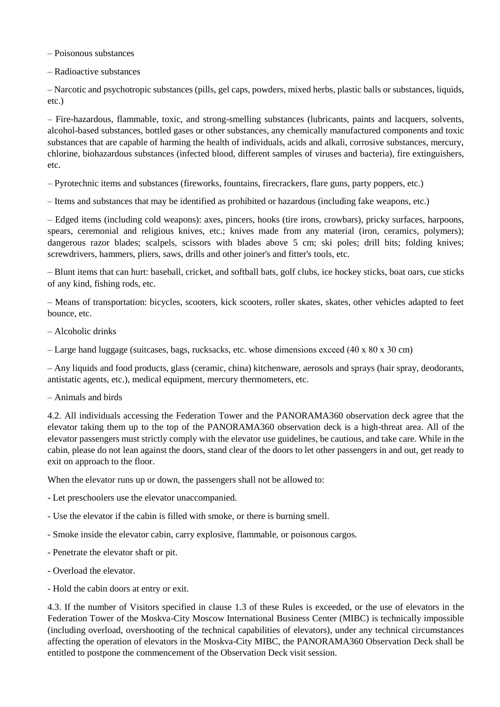– Poisonous substances

– Radioactive substances

– Narcotic and psychotropic substances (pills, gel caps, powders, mixed herbs, plastic balls or substances, liquids, etc.)

– Fire-hazardous, flammable, toxic, and strong-smelling substances (lubricants, paints and lacquers, solvents, alcohol-based substances, bottled gases or other substances, any chemically manufactured components and toxic substances that are capable of harming the health of individuals, acids and alkali, corrosive substances, mercury, chlorine, biohazardous substances (infected blood, different samples of viruses and bacteria), fire extinguishers, etc.

– Pyrotechnic items and substances (fireworks, fountains, firecrackers, flare guns, party poppers, etc.)

– Items and substances that may be identified as prohibited or hazardous (including fake weapons, etc.)

– Edged items (including cold weapons): axes, pincers, hooks (tire irons, crowbars), pricky surfaces, harpoons, spears, ceremonial and religious knives, etc.; knives made from any material (iron, ceramics, polymers); dangerous razor blades; scalpels, scissors with blades above 5 cm; ski poles; drill bits; folding knives; screwdrivers, hammers, pliers, saws, drills and other joiner's and fitter's tools, etc.

– Blunt items that can hurt: baseball, cricket, and softball bats, golf clubs, ice hockey sticks, boat oars, cue sticks of any kind, fishing rods, etc.

– Means of transportation: bicycles, scooters, kick scooters, roller skates, skates, other vehicles adapted to feet bounce, etc.

– Alcoholic drinks

– Large hand luggage (suitcases, bags, rucksacks, etc. whose dimensions exceed (40 x  $80 \times 30$  cm)

– Any liquids and food products, glass (ceramic, china) kitchenware, aerosols and sprays (hair spray, deodorants, antistatic agents, etc.), medical equipment, mercury thermometers, etc.

#### – Animals and birds

4.2. All individuals accessing the Federation Tower and the PANORAMA360 observation deck agree that the elevator taking them up to the top of the PANORAMA360 observation deck is a high-threat area. All of the elevator passengers must strictly comply with the elevator use guidelines, be cautious, and take care. While in the cabin, please do not lean against the doors, stand clear of the doors to let other passengers in and out, get ready to exit on approach to the floor.

When the elevator runs up or down, the passengers shall not be allowed to:

- Let preschoolers use the elevator unaccompanied.

- Use the elevator if the cabin is filled with smoke, or there is burning smell.

- Smoke inside the elevator cabin, carry explosive, flammable, or poisonous cargos.
- Penetrate the elevator shaft or pit.
- Overload the elevator.
- Hold the cabin doors at entry or exit.

4.3. If the number of Visitors specified in clause 1.3 of these Rules is exceeded, or the use of elevators in the Federation Tower of the Moskva-City Moscow International Business Center (MIBC) is technically impossible (including overload, overshooting of the technical capabilities of elevators), under any technical circumstances affecting the operation of elevators in the Moskva-City MIBC, the PANORAMA360 Observation Deck shall be entitled to postpone the commencement of the Observation Deck visit session.